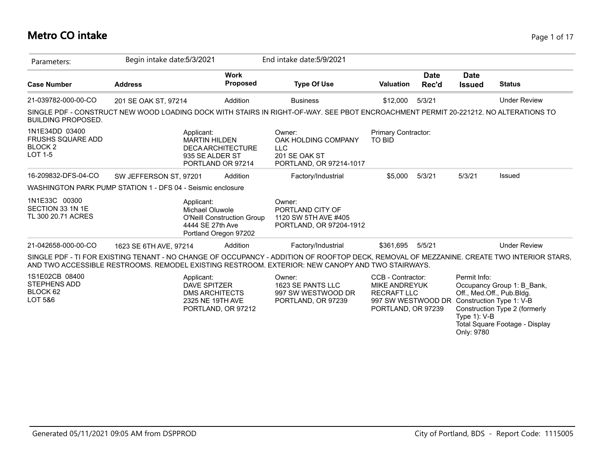## **Metro CO intake** Page 1 of 17

| Parameters:                                                                        | Begin intake date: 5/3/2021 |                                                                                                        |                                   | End intake date: 5/9/2021                                                                                                                                                                                                                     |                                                                                                                                      |                      |                                               |                                                                                                                            |
|------------------------------------------------------------------------------------|-----------------------------|--------------------------------------------------------------------------------------------------------|-----------------------------------|-----------------------------------------------------------------------------------------------------------------------------------------------------------------------------------------------------------------------------------------------|--------------------------------------------------------------------------------------------------------------------------------------|----------------------|-----------------------------------------------|----------------------------------------------------------------------------------------------------------------------------|
| <b>Case Number</b>                                                                 | <b>Address</b>              |                                                                                                        | <b>Work</b><br><b>Proposed</b>    | <b>Type Of Use</b>                                                                                                                                                                                                                            | <b>Valuation</b>                                                                                                                     | <b>Date</b><br>Rec'd | <b>Date</b><br><b>Issued</b>                  | <b>Status</b>                                                                                                              |
| 21-039782-000-00-CO                                                                | 201 SE OAK ST, 97214        |                                                                                                        | Addition                          | <b>Business</b>                                                                                                                                                                                                                               | \$12,000                                                                                                                             | 5/3/21               |                                               | <b>Under Review</b>                                                                                                        |
| <b>BUILDING PROPOSED.</b>                                                          |                             |                                                                                                        |                                   | SINGLE PDF - CONSTRUCT NEW WOOD LOADING DOCK WITH STAIRS IN RIGHT-OF-WAY. SEE PBOT ENCROACHMENT PERMIT 20-221212. NO ALTERATIONS TO                                                                                                           |                                                                                                                                      |                      |                                               |                                                                                                                            |
| 1N1E34DD 03400<br><b>FRUSHS SQUARE ADD</b><br>BLOCK <sub>2</sub><br><b>LOT 1-5</b> |                             | Applicant:<br><b>MARTIN HILDEN</b><br><b>DECA ARCHITECTURE</b><br>935 SE ALDER ST<br>PORTLAND OR 97214 |                                   | Owner:<br>OAK HOLDING COMPANY<br><b>LLC</b><br>201 SE OAK ST<br>PORTLAND, OR 97214-1017                                                                                                                                                       | Primary Contractor:<br><b>TO BID</b>                                                                                                 |                      |                                               |                                                                                                                            |
| 16-209832-DFS-04-CO                                                                | SW JEFFERSON ST. 97201      |                                                                                                        | Addition                          | Factory/Industrial                                                                                                                                                                                                                            | \$5,000                                                                                                                              | 5/3/21               | 5/3/21                                        | Issued                                                                                                                     |
| WASHINGTON PARK PUMP STATION 1 - DFS 04 - Seismic enclosure                        |                             |                                                                                                        |                                   |                                                                                                                                                                                                                                               |                                                                                                                                      |                      |                                               |                                                                                                                            |
| 1N1E33C 00300<br>SECTION 33 1N 1E<br>TL 300 20.71 ACRES                            |                             | Applicant:<br>Michael Oluwole<br>4444 SE 27th Ave<br>Portland Oregon 97202                             | <b>O'Neill Construction Group</b> | Owner:<br>PORTLAND CITY OF<br>1120 SW 5TH AVE #405<br>PORTLAND, OR 97204-1912                                                                                                                                                                 |                                                                                                                                      |                      |                                               |                                                                                                                            |
| 21-042658-000-00-CO                                                                | 1623 SE 6TH AVE, 97214      |                                                                                                        | Addition                          | Factory/Industrial                                                                                                                                                                                                                            | \$361,695                                                                                                                            | 5/5/21               |                                               | <b>Under Review</b>                                                                                                        |
|                                                                                    |                             |                                                                                                        |                                   | SINGLE PDF - TI FOR EXISTING TENANT - NO CHANGE OF OCCUPANCY - ADDITION OF ROOFTOP DECK, REMOVAL OF MEZZANINE. CREATE TWO INTERIOR STARS,<br>AND TWO ACCESSIBLE RESTROOMS. REMODEL EXISTING RESTROOM. EXTERIOR: NEW CANOPY AND TWO STAIRWAYS. |                                                                                                                                      |                      |                                               |                                                                                                                            |
| 1S1E02CB 08400<br><b>STEPHENS ADD</b><br>BLOCK 62<br>LOT 5&6                       |                             | Applicant:<br><b>DAVE SPITZER</b><br><b>DMS ARCHITECTS</b><br>2325 NE 19TH AVE<br>PORTLAND, OR 97212   |                                   | Owner:<br>1623 SE PANTS LLC<br>997 SW WESTWOOD DR<br>PORTLAND, OR 97239                                                                                                                                                                       | CCB - Contractor:<br><b>MIKE ANDREYUK</b><br><b>RECRAFT LLC</b><br>997 SW WESTWOOD DR Construction Type 1: V-B<br>PORTLAND, OR 97239 |                      | Permit Info:<br>Type $1$ ): V-B<br>Only: 9780 | Occupancy Group 1: B_Bank,<br>Off., Med.Off., Pub.Bldg.<br>Construction Type 2 (formerly<br>Total Square Footage - Display |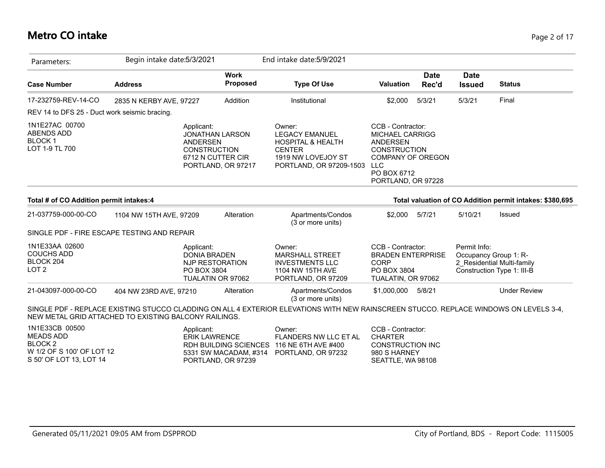## **Metro CO intake** Page 2 of 17

|                                               |                                                                                                                                                              | End intake date: 5/9/2021                                                                                                                                                                 |                               |                      |                                                                                                                                                                                                                           |                                                                                   |
|-----------------------------------------------|--------------------------------------------------------------------------------------------------------------------------------------------------------------|-------------------------------------------------------------------------------------------------------------------------------------------------------------------------------------------|-------------------------------|----------------------|---------------------------------------------------------------------------------------------------------------------------------------------------------------------------------------------------------------------------|-----------------------------------------------------------------------------------|
| <b>Address</b>                                | <b>Work</b><br><b>Proposed</b>                                                                                                                               | <b>Type Of Use</b>                                                                                                                                                                        | <b>Valuation</b>              | <b>Date</b><br>Rec'd | <b>Date</b><br><b>Issued</b>                                                                                                                                                                                              | <b>Status</b>                                                                     |
|                                               | Addition                                                                                                                                                     | Institutional                                                                                                                                                                             | \$2,000                       | 5/3/21               | 5/3/21                                                                                                                                                                                                                    | Final                                                                             |
| REV 14 to DFS 25 - Duct work seismic bracing. |                                                                                                                                                              |                                                                                                                                                                                           |                               |                      |                                                                                                                                                                                                                           |                                                                                   |
|                                               |                                                                                                                                                              | Owner:<br><b>LEGACY EMANUEL</b><br><b>HOSPITAL &amp; HEALTH</b><br><b>CENTER</b><br>1919 NW LOVEJOY ST<br>PORTLAND, OR 97209-1503                                                         | <b>ANDERSEN</b><br><b>LLC</b> |                      |                                                                                                                                                                                                                           |                                                                                   |
| Total # of CO Addition permit intakes:4       |                                                                                                                                                              |                                                                                                                                                                                           |                               |                      |                                                                                                                                                                                                                           |                                                                                   |
|                                               | Alteration                                                                                                                                                   | Apartments/Condos<br>(3 or more units)                                                                                                                                                    | \$2,000                       | 5/7/21               | 5/10/21                                                                                                                                                                                                                   | Issued                                                                            |
|                                               |                                                                                                                                                              |                                                                                                                                                                                           |                               |                      |                                                                                                                                                                                                                           |                                                                                   |
|                                               |                                                                                                                                                              | Owner:<br><b>MARSHALL STREET</b><br><b>INVESTMENTS LLC</b><br>1104 NW 15TH AVE<br>PORTLAND, OR 97209                                                                                      | CORP                          |                      | Permit Info:                                                                                                                                                                                                              | Occupancy Group 1: R-<br>2 Residential Multi-family<br>Construction Type 1: III-B |
| 404 NW 23RD AVE, 97210                        | Alteration                                                                                                                                                   | Apartments/Condos<br>(3 or more units)                                                                                                                                                    | \$1,000,000                   | 5/8/21               |                                                                                                                                                                                                                           | <b>Under Review</b>                                                               |
|                                               | Begin intake date: 5/3/2021<br>2835 N KERBY AVE, 97227<br>Applicant:<br>1104 NW 15TH AVE, 97209<br>SINGLE PDF - FIRE ESCAPE TESTING AND REPAIR<br>Applicant: | <b>JONATHAN LARSON</b><br><b>ANDERSEN</b><br><b>CONSTRUCTION</b><br>6712 N CUTTER CIR<br>PORTLAND, OR 97217<br><b>DONIA BRADEN</b><br>NJP RESTORATION<br>PO BOX 3804<br>TUALATIN OR 97062 |                               |                      | CCB - Contractor:<br><b>MICHAEL CARRIGG</b><br><b>CONSTRUCTION</b><br><b>COMPANY OF OREGON</b><br>PO BOX 6712<br>PORTLAND, OR 97228<br>CCB - Contractor:<br><b>BRADEN ENTERPRISE</b><br>PO BOX 3804<br>TUALATIN, OR 97062 | Total valuation of CO Addition permit intakes: \$380,695                          |

| 1N1E33CB 00500            | Applicant:                                | Owner:                | CCB - Contractor: |
|---------------------------|-------------------------------------------|-----------------------|-------------------|
| MEADS ADD                 | FRIK LAWRENCE                             | FLANDERS NW LLC ET AL | <b>CHARTER</b>    |
| BLOCK 2                   | RDH BUILDING SCIENCES 116 NE 6TH AVE #400 |                       | CONSTRUCTION INC  |
| W 1/2 OF S 100' OF LOT 12 | 5331 SW MACADAM, #314 PORTLAND, OR 97232  |                       | 980 S HARNEY      |
| S 50' OF LOT 13. LOT 14   | PORTLAND, OR 97239                        |                       | SEATTLE. WA 98108 |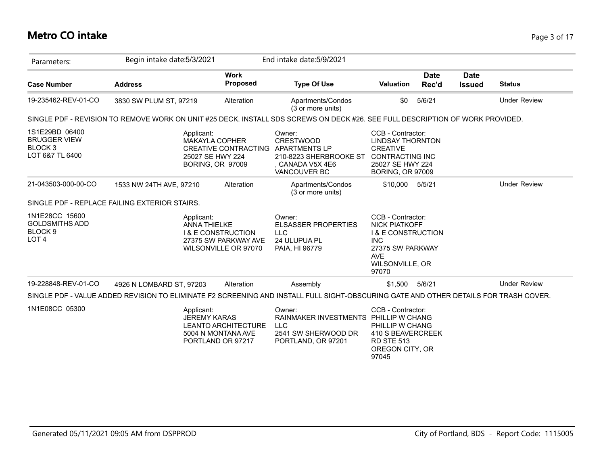| Parameters:                                                                       | Begin intake date: 5/3/2021                                                                                                          |                                                                                                     | End intake date: 5/9/2021                                                                                        |                                                                                                                                                 |                      |                              |                     |
|-----------------------------------------------------------------------------------|--------------------------------------------------------------------------------------------------------------------------------------|-----------------------------------------------------------------------------------------------------|------------------------------------------------------------------------------------------------------------------|-------------------------------------------------------------------------------------------------------------------------------------------------|----------------------|------------------------------|---------------------|
| <b>Case Number</b>                                                                | <b>Address</b>                                                                                                                       | <b>Work</b><br><b>Proposed</b>                                                                      | <b>Type Of Use</b>                                                                                               | <b>Valuation</b>                                                                                                                                | <b>Date</b><br>Rec'd | <b>Date</b><br><b>Issued</b> | <b>Status</b>       |
| 19-235462-REV-01-CO                                                               | 3830 SW PLUM ST, 97219                                                                                                               | Alteration                                                                                          | Apartments/Condos<br>(3 or more units)                                                                           | \$0                                                                                                                                             | 5/6/21               |                              | <b>Under Review</b> |
|                                                                                   | SINGLE PDF - REVISION TO REMOVE WORK ON UNIT #25 DECK. INSTALL SDS SCREWS ON DECK #26. SEE FULL DESCRIPTION OF WORK PROVIDED.        |                                                                                                     |                                                                                                                  |                                                                                                                                                 |                      |                              |                     |
| 1S1E29BD 06400<br><b>BRUGGER VIEW</b><br>BLOCK <sub>3</sub><br>LOT 6&7 TL 6400    | Applicant:                                                                                                                           | <b>MAKAYLA COPHER</b><br><b>CREATIVE CONTRACTING</b><br>25027 SE HWY 224<br><b>BORING, OR 97009</b> | Owner:<br><b>CRESTWOOD</b><br><b>APARTMENTS LP</b><br>210-8223 SHERBROOKE ST<br>. CANADA V5X 4E6<br>VANCOUVER BC | CCB - Contractor:<br><b>LINDSAY THORNTON</b><br><b>CREATIVE</b><br><b>CONTRACTING INC</b><br>25027 SE HWY 224<br><b>BORING, OR 97009</b>        |                      |                              |                     |
| 21-043503-000-00-CO                                                               | 1533 NW 24TH AVE, 97210                                                                                                              | Alteration                                                                                          | Apartments/Condos<br>(3 or more units)                                                                           | \$10,000                                                                                                                                        | 5/5/21               |                              | <b>Under Review</b> |
|                                                                                   | SINGLE PDF - REPLACE FAILING EXTERIOR STAIRS.                                                                                        |                                                                                                     |                                                                                                                  |                                                                                                                                                 |                      |                              |                     |
| 1N1E28CC 15600<br><b>GOLDSMITHS ADD</b><br>BLOCK <sub>9</sub><br>LOT <sub>4</sub> | Applicant:<br><b>ANNA THIELKE</b>                                                                                                    | <b>1&amp; E CONSTRUCTION</b><br>27375 SW PARKWAY AVE<br>WILSONVILLE OR 97070                        | Owner:<br><b>ELSASSER PROPERTIES</b><br><b>LLC</b><br>24 ULUPUA PL<br>PAIA, HI 96779                             | CCB - Contractor:<br><b>NICK PIATKOFF</b><br><b>I &amp; E CONSTRUCTION</b><br><b>INC</b><br>27375 SW PARKWAY<br>AVE<br>WILSONVILLE, OR<br>97070 |                      |                              |                     |
| 19-228848-REV-01-CO                                                               | 4926 N LOMBARD ST, 97203                                                                                                             | Alteration                                                                                          | Assembly                                                                                                         | \$1,500                                                                                                                                         | 5/6/21               |                              | <b>Under Review</b> |
|                                                                                   | SINGLE PDF - VALUE ADDED REVISION TO ELIMINATE F2 SCREENING AND INSTALL FULL SIGHT-OBSCURING GATE AND OTHER DETAILS FOR TRASH COVER. |                                                                                                     |                                                                                                                  |                                                                                                                                                 |                      |                              |                     |
| 1N1E08CC 05300                                                                    | Applicant:<br><b>JEREMY KARAS</b>                                                                                                    | <b>LEANTO ARCHITECTURE</b><br>5004 N MONTANA AVE<br>PORTLAND OR 97217                               | Owner:<br>RAINMAKER INVESTMENTS PHILLIP W CHANG<br><b>LLC</b><br>2541 SW SHERWOOD DR<br>PORTLAND, OR 97201       | CCB - Contractor:<br>PHILLIP W CHANG<br>410 S BEAVERCREEK<br><b>RD STE 513</b><br>OREGON CITY, OR<br>97045                                      |                      |                              |                     |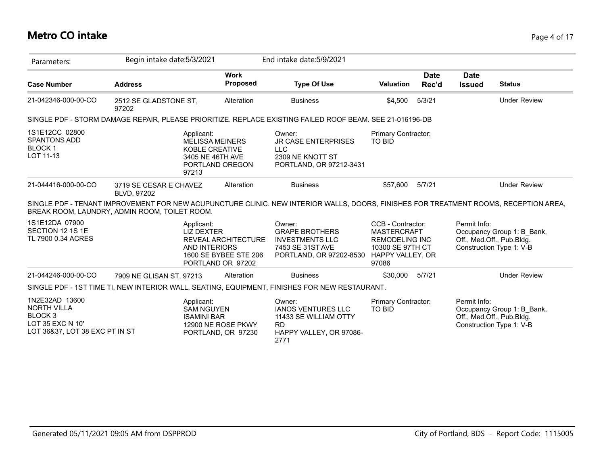#### **Metro CO intake** Page 4 of 17

| Parameters:                                                                                                      | Begin intake date: 5/3/2021                                                                                                                                                           |                                                                                 | End intake date: 5/9/2021                                                                                |                                                                                                                   |                      |                              |                                                                                     |
|------------------------------------------------------------------------------------------------------------------|---------------------------------------------------------------------------------------------------------------------------------------------------------------------------------------|---------------------------------------------------------------------------------|----------------------------------------------------------------------------------------------------------|-------------------------------------------------------------------------------------------------------------------|----------------------|------------------------------|-------------------------------------------------------------------------------------|
| <b>Case Number</b>                                                                                               | <b>Address</b>                                                                                                                                                                        | <b>Work</b><br><b>Proposed</b>                                                  | <b>Type Of Use</b>                                                                                       | <b>Valuation</b>                                                                                                  | <b>Date</b><br>Rec'd | <b>Date</b><br><b>Issued</b> | <b>Status</b>                                                                       |
| 21-042346-000-00-CO                                                                                              | 2512 SE GLADSTONE ST,<br>97202                                                                                                                                                        | Alteration                                                                      | <b>Business</b>                                                                                          | \$4,500                                                                                                           | 5/3/21               |                              | <b>Under Review</b>                                                                 |
|                                                                                                                  | SINGLE PDF - STORM DAMAGE REPAIR, PLEASE PRIORITIZE. REPLACE EXISTING FAILED ROOF BEAM. SEE 21-016196-DB                                                                              |                                                                                 |                                                                                                          |                                                                                                                   |                      |                              |                                                                                     |
| 1S1E12CC 02800<br><b>SPANTONS ADD</b><br><b>BLOCK1</b><br>LOT 11-13                                              | Applicant:<br>97213                                                                                                                                                                   | <b>MELISSA MEINERS</b><br>KOBLE CREATIVE<br>3405 NE 46TH AVE<br>PORTLAND OREGON | Owner:<br><b>JR CASE ENTERPRISES</b><br><b>LLC</b><br>2309 NE KNOTT ST<br>PORTLAND, OR 97212-3431        | Primary Contractor:<br>TO BID                                                                                     |                      |                              |                                                                                     |
| 21-044416-000-00-CO                                                                                              | 3719 SE CESAR E CHAVEZ<br>BLVD, 97202                                                                                                                                                 | Alteration                                                                      | <b>Business</b>                                                                                          | \$57,600                                                                                                          | 5/7/21               |                              | <b>Under Review</b>                                                                 |
|                                                                                                                  | SINGLE PDF - TENANT IMPROVEMENT FOR NEW ACUPUNCTURE CLINIC. NEW INTERIOR WALLS, DOORS, FINISHES FOR TREATMENT ROOMS, RECEPTION AREA,<br>BREAK ROOM, LAUNDRY, ADMIN ROOM, TOILET ROOM. |                                                                                 |                                                                                                          |                                                                                                                   |                      |                              |                                                                                     |
| 1S1E12DA 07900<br>SECTION 12 1S 1E<br>TL 7900 0.34 ACRES                                                         | Applicant:<br><b>LIZ DEXTER</b><br><b>AND INTERIORS</b>                                                                                                                               | REVEAL ARCHITECTURE<br>1600 SE BYBEE STE 206<br>PORTLAND OR 97202               | Owner:<br><b>GRAPE BROTHERS</b><br><b>INVESTMENTS LLC</b><br>7453 SE 31ST AVE<br>PORTLAND, OR 97202-8530 | CCB - Contractor:<br><b>MASTERCRAFT</b><br><b>REMODELING INC</b><br>10300 SE 97TH CT<br>HAPPY VALLEY, OR<br>97086 |                      | Permit Info:                 | Occupancy Group 1: B Bank,<br>Off., Med.Off., Pub.Bldg.<br>Construction Type 1: V-B |
| 21-044246-000-00-CO                                                                                              | 7909 NE GLISAN ST, 97213                                                                                                                                                              | Alteration                                                                      | <b>Business</b>                                                                                          | \$30,000                                                                                                          | 5/7/21               |                              | <b>Under Review</b>                                                                 |
|                                                                                                                  | SINGLE PDF - 1ST TIME TI, NEW INTERIOR WALL, SEATING, EQUIPMENT, FINISHES FOR NEW RESTAURANT.                                                                                         |                                                                                 |                                                                                                          |                                                                                                                   |                      |                              |                                                                                     |
| 1N2E32AD 13600<br><b>NORTH VILLA</b><br>BLOCK <sub>3</sub><br>LOT 35 EXC N 10'<br>LOT 36&37, LOT 38 EXC PT IN ST | Applicant:<br><b>SAM NGUYEN</b><br><b>ISAMINI BAR</b>                                                                                                                                 | 12900 NE ROSE PKWY<br>PORTLAND, OR 97230                                        | Owner:<br><b>IANOS VENTURES LLC</b><br>11433 SE WILLIAM OTTY<br>RD<br>HAPPY VALLEY, OR 97086-<br>2771    | Primary Contractor:<br>TO BID                                                                                     |                      | Permit Info:                 | Occupancy Group 1: B Bank,<br>Off., Med.Off., Pub.Bldg.<br>Construction Type 1: V-B |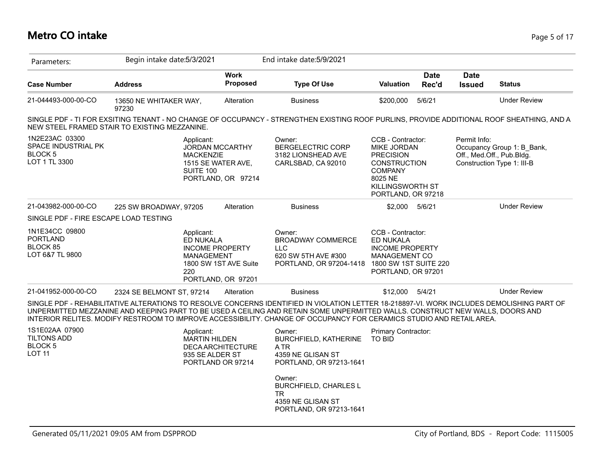## **Metro CO intake** Page 5 of 17

| Parameters:                                                              | Begin intake date: 5/3/2021                                                                                                                                                                                                                                                                                                                                                                         |                                                                       | End intake date: 5/9/2021                                                                                                                                                  |                                                                                                                                                    |                      |                              |                                                                                       |
|--------------------------------------------------------------------------|-----------------------------------------------------------------------------------------------------------------------------------------------------------------------------------------------------------------------------------------------------------------------------------------------------------------------------------------------------------------------------------------------------|-----------------------------------------------------------------------|----------------------------------------------------------------------------------------------------------------------------------------------------------------------------|----------------------------------------------------------------------------------------------------------------------------------------------------|----------------------|------------------------------|---------------------------------------------------------------------------------------|
| <b>Case Number</b>                                                       | <b>Address</b>                                                                                                                                                                                                                                                                                                                                                                                      | <b>Work</b><br>Proposed                                               | <b>Type Of Use</b>                                                                                                                                                         | <b>Valuation</b>                                                                                                                                   | <b>Date</b><br>Rec'd | <b>Date</b><br><b>Issued</b> | <b>Status</b>                                                                         |
| 21-044493-000-00-CO                                                      | 13650 NE WHITAKER WAY,<br>97230                                                                                                                                                                                                                                                                                                                                                                     | Alteration                                                            | <b>Business</b>                                                                                                                                                            | \$200,000                                                                                                                                          | 5/6/21               |                              | <b>Under Review</b>                                                                   |
|                                                                          | SINGLE PDF - TI FOR EXSITING TENANT - NO CHANGE OF OCCUPANCY - STRENGTHEN EXISTING ROOF PURLINS, PROVIDE ADDITIONAL ROOF SHEATHING, AND A<br>NEW STEEL FRAMED STAIR TO EXISTING MEZZANINE.                                                                                                                                                                                                          |                                                                       |                                                                                                                                                                            |                                                                                                                                                    |                      |                              |                                                                                       |
| 1N2E23AC 03300<br>SPACE INDUSTRIAL PK<br><b>BLOCK 5</b><br>LOT 1 TL 3300 | Applicant:<br><b>MACKENZIE</b><br><b>SUITE 100</b>                                                                                                                                                                                                                                                                                                                                                  | <b>JORDAN MCCARTHY</b><br>1515 SE WATER AVE,<br>PORTLAND, OR 97214    | Owner:<br><b>BERGELECTRIC CORP</b><br>3182 LIONSHEAD AVE<br>CARLSBAD, CA 92010                                                                                             | CCB - Contractor:<br>MIKE JORDAN<br><b>PRECISION</b><br><b>CONSTRUCTION</b><br><b>COMPANY</b><br>8025 NE<br>KILLINGSWORTH ST<br>PORTLAND, OR 97218 |                      | Permit Info:                 | Occupancy Group 1: B Bank,<br>Off., Med.Off., Pub.Bldg.<br>Construction Type 1: III-B |
| 21-043982-000-00-CO                                                      | 225 SW BROADWAY, 97205                                                                                                                                                                                                                                                                                                                                                                              | Alteration                                                            | <b>Business</b>                                                                                                                                                            | \$2,000                                                                                                                                            | 5/6/21               |                              | <b>Under Review</b>                                                                   |
| SINGLE PDF - FIRE ESCAPE LOAD TESTING                                    |                                                                                                                                                                                                                                                                                                                                                                                                     |                                                                       |                                                                                                                                                                            |                                                                                                                                                    |                      |                              |                                                                                       |
| 1N1E34CC 09800<br><b>PORTLAND</b><br>BLOCK 85<br>LOT 6&7 TL 9800         | Applicant:<br>ED NUKALA<br><b>MANAGEMENT</b><br>220                                                                                                                                                                                                                                                                                                                                                 | <b>INCOME PROPERTY</b><br>1800 SW 1ST AVE Suite<br>PORTLAND, OR 97201 | Owner:<br><b>BROADWAY COMMERCE</b><br><b>LLC</b><br>620 SW 5TH AVE #300<br>PORTLAND, OR 97204-1418                                                                         | CCB - Contractor:<br>ED NUKALA<br><b>INCOME PROPERTY</b><br>MANAGEMENT CO<br>1800 SW 1ST SUITE 220<br>PORTLAND, OR 97201                           |                      |                              |                                                                                       |
| 21-041952-000-00-CO                                                      | 2324 SE BELMONT ST, 97214                                                                                                                                                                                                                                                                                                                                                                           | Alteration                                                            | <b>Business</b>                                                                                                                                                            | \$12,000                                                                                                                                           | 5/4/21               |                              | <b>Under Review</b>                                                                   |
|                                                                          | SINGLE PDF - REHABILITATIVE ALTERATIONS TO RESOLVE CONCERNS IDENTIFIED IN VIOLATION LETTER 18-218897-VI. WORK INCLUDES DEMOLISHING PART OF<br>UNPERMITTED MEZZANINE AND KEEPING PART TO BE USED A CEILING AND RETAIN SOME UNPERMITTED WALLS. CONSTRUCT NEW WALLS, DOORS AND<br>INTERIOR RELITES. MODIFY RESTROOM TO IMPROVE ACCESSIBILITY. CHANGE OF OCCUPANCY FOR CERAMICS STUDIO AND RETAIL AREA. |                                                                       |                                                                                                                                                                            |                                                                                                                                                    |                      |                              |                                                                                       |
| 1S1E02AA 07900<br><b>TILTONS ADD</b><br><b>BLOCK 5</b><br><b>LOT 11</b>  | Applicant:<br><b>MARTIN HILDEN</b><br>935 SE ALDER ST                                                                                                                                                                                                                                                                                                                                               | <b>DECA ARCHITECTURE</b><br>PORTLAND OR 97214                         | Owner:<br><b>BURCHFIELD, KATHERINE</b><br>A TR<br>4359 NE GLISAN ST<br>PORTLAND, OR 97213-1641<br>Owner:<br><b>BURCHFIELD, CHARLES L</b><br><b>TR</b><br>4359 NE GLISAN ST | <b>Primary Contractor:</b><br><b>TO BID</b>                                                                                                        |                      |                              |                                                                                       |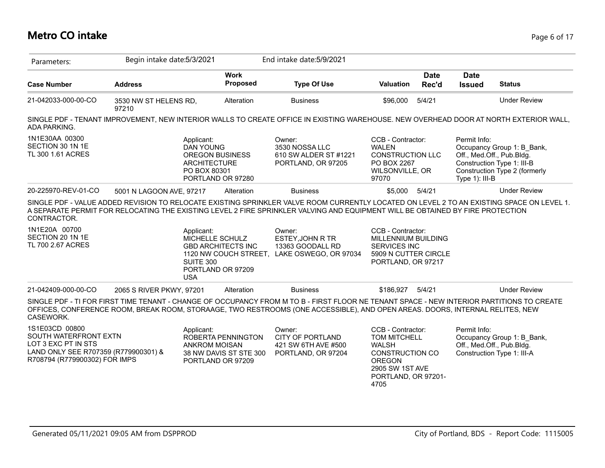## **Metro CO intake** Page 6 of 17

| Parameters:                                                                                                                             | Begin intake date: 5/3/2021    |                                                                                                                      |                                                    | End intake date: 5/9/2021                                                                                                                                                                                                                                                                                                                              |                                                                                                                                                       |                      |                                |                                                                                                                        |
|-----------------------------------------------------------------------------------------------------------------------------------------|--------------------------------|----------------------------------------------------------------------------------------------------------------------|----------------------------------------------------|--------------------------------------------------------------------------------------------------------------------------------------------------------------------------------------------------------------------------------------------------------------------------------------------------------------------------------------------------------|-------------------------------------------------------------------------------------------------------------------------------------------------------|----------------------|--------------------------------|------------------------------------------------------------------------------------------------------------------------|
| <b>Case Number</b>                                                                                                                      | <b>Address</b>                 |                                                                                                                      | <b>Work</b><br>Proposed                            | <b>Type Of Use</b>                                                                                                                                                                                                                                                                                                                                     | <b>Valuation</b>                                                                                                                                      | <b>Date</b><br>Rec'd | <b>Date</b><br><b>Issued</b>   | <b>Status</b>                                                                                                          |
| 21-042033-000-00-CO                                                                                                                     | 3530 NW ST HELENS RD,<br>97210 |                                                                                                                      | Alteration                                         | <b>Business</b>                                                                                                                                                                                                                                                                                                                                        | \$96,000                                                                                                                                              | 5/4/21               |                                | <b>Under Review</b>                                                                                                    |
| ADA PARKING.                                                                                                                            |                                |                                                                                                                      |                                                    | SINGLE PDF - TENANT IMPROVEMENT, NEW INTERIOR WALLS TO CREATE OFFICE IN EXISTING WAREHOUSE. NEW OVERHEAD DOOR AT NORTH EXTERIOR WALL,                                                                                                                                                                                                                  |                                                                                                                                                       |                      |                                |                                                                                                                        |
| 1N1E30AA 00300<br>SECTION 30 1N 1E<br>TL 300 1.61 ACRES                                                                                 |                                | Applicant:<br><b>DAN YOUNG</b><br><b>OREGON BUSINESS</b><br><b>ARCHITECTURE</b><br>PO BOX 80301<br>PORTLAND OR 97280 |                                                    | Owner:<br>3530 NOSSA LLC<br>610 SW ALDER ST #1221<br>PORTLAND, OR 97205                                                                                                                                                                                                                                                                                | CCB - Contractor:<br><b>WALEN</b><br><b>CONSTRUCTION LLC</b><br>PO BOX 2267<br>WILSONVILLE, OR<br>97070                                               |                      | Permit Info:<br>Type 1): III-B | Occupancy Group 1: B Bank,<br>Off., Med.Off., Pub.Bldg.<br>Construction Type 1: III-B<br>Construction Type 2 (formerly |
| 20-225970-REV-01-CO                                                                                                                     | 5001 N LAGOON AVE, 97217       |                                                                                                                      | Alteration                                         | <b>Business</b>                                                                                                                                                                                                                                                                                                                                        | \$5,000                                                                                                                                               | 5/4/21               |                                | <b>Under Review</b>                                                                                                    |
| CONTRACTOR.<br>1N1E20A 00700<br>SECTION 20 1N 1E<br>TL 700 2.67 ACRES                                                                   |                                | Applicant:<br>MICHELLE SCHULZ<br>SUITE 300<br>PORTLAND OR 97209<br><b>USA</b>                                        | <b>GBD ARCHITECTS INC</b><br>1120 NW COUCH STREET, | SINGLE PDF - VALUE ADDED REVISION TO RELOCATE EXISTING SPRINKLER VALVE ROOM CURRENTLY LOCATED ON LEVEL 2 TO AN EXISTING SPACE ON LEVEL 1.<br>A SEPARATE PERMIT FOR RELOCATING THE EXISTING LEVEL 2 FIRE SPRINKLER VALVING AND EQUIPMENT WILL BE OBTAINED BY FIRE PROTECTION<br>Owner:<br>ESTEY, JOHN R TR<br>13363 GOODALL RD<br>LAKE OSWEGO, OR 97034 | CCB - Contractor:<br>MILLENNIUM BUILDING<br><b>SERVICES INC</b><br>5909 N CUTTER CIRCLE<br>PORTLAND, OR 97217                                         |                      |                                |                                                                                                                        |
| 21-042409-000-00-CO                                                                                                                     | 2065 S RIVER PKWY, 97201       |                                                                                                                      | Alteration                                         | <b>Business</b>                                                                                                                                                                                                                                                                                                                                        | \$186,927                                                                                                                                             | 5/4/21               |                                | <b>Under Review</b>                                                                                                    |
| CASEWORK.                                                                                                                               |                                |                                                                                                                      |                                                    | SINGLE PDF - TI FOR FIRST TIME TENANT - CHANGE OF OCCUPANCY FROM M TO B - FIRST FLOOR NE TENANT SPACE - NEW INTERIOR PARTITIONS TO CREATE<br>OFFICES, CONFERENCE ROOM, BREAK ROOM, STORAAGE, TWO RESTROOMS (ONE ACCESSIBLE), AND OPEN AREAS. DOORS, INTERNAL RELITES, NEW                                                                              |                                                                                                                                                       |                      |                                |                                                                                                                        |
| 1S1E03CD 00800<br>SOUTH WATERFRONT EXTN<br>LOT 3 EXC PT IN STS<br>LAND ONLY SEE R707359 (R779900301) &<br>R708794 (R779900302) FOR IMPS |                                | Applicant:<br>ANKROM MOISAN<br>PORTLAND OR 97209                                                                     | ROBERTA PENNINGTON<br>38 NW DAVIS ST STE 300       | Owner:<br><b>CITY OF PORTLAND</b><br>421 SW 6TH AVE #500<br>PORTLAND, OR 97204                                                                                                                                                                                                                                                                         | CCB - Contractor:<br><b>TOM MITCHELL</b><br><b>WALSH</b><br><b>CONSTRUCTION CO</b><br><b>OREGON</b><br>2905 SW 1ST AVE<br>PORTLAND, OR 97201-<br>4705 |                      | Permit Info:                   | Occupancy Group 1: B Bank,<br>Off., Med.Off., Pub.Bldg.<br>Construction Type 1: III-A                                  |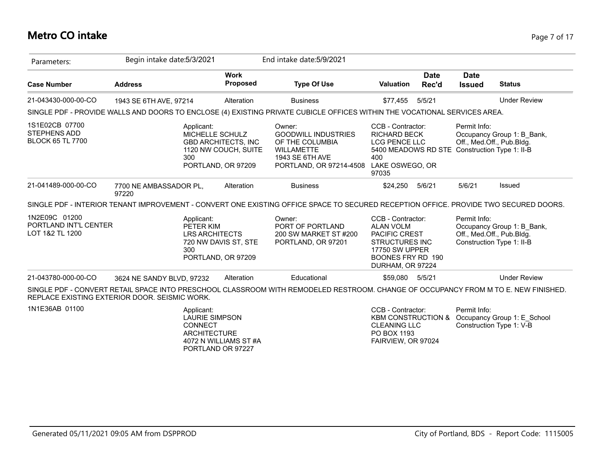#### **Metro CO intake** Page 7 of 17

| Parameters:                                                      | Begin intake date: 5/3/2021                                                                                                                                                         |                                                                                             | End intake date: 5/9/2021                                                                                                  |                                                                                                                                                          |                      |                                           |                                                         |
|------------------------------------------------------------------|-------------------------------------------------------------------------------------------------------------------------------------------------------------------------------------|---------------------------------------------------------------------------------------------|----------------------------------------------------------------------------------------------------------------------------|----------------------------------------------------------------------------------------------------------------------------------------------------------|----------------------|-------------------------------------------|---------------------------------------------------------|
| <b>Case Number</b>                                               | <b>Address</b>                                                                                                                                                                      | <b>Work</b><br><b>Proposed</b>                                                              | <b>Type Of Use</b>                                                                                                         | <b>Valuation</b>                                                                                                                                         | <b>Date</b><br>Rec'd | <b>Date</b><br><b>Issued</b>              | <b>Status</b>                                           |
| 21-043430-000-00-CO                                              | 1943 SE 6TH AVE, 97214                                                                                                                                                              | Alteration                                                                                  | <b>Business</b>                                                                                                            | \$77.455                                                                                                                                                 | 5/5/21               |                                           | <b>Under Review</b>                                     |
|                                                                  | SINGLE PDF - PROVIDE WALLS AND DOORS TO ENCLOSE (4) EXISTING PRIVATE CUBICLE OFFICES WITHIN THE VOCATIONAL SERVICES AREA.                                                           |                                                                                             |                                                                                                                            |                                                                                                                                                          |                      |                                           |                                                         |
| 1S1E02CB 07700<br><b>STEPHENS ADD</b><br><b>BLOCK 65 TL 7700</b> | Applicant:<br>300                                                                                                                                                                   | MICHELLE SCHULZ<br><b>GBD ARCHITECTS, INC</b><br>1120 NW COUCH, SUITE<br>PORTLAND, OR 97209 | Owner:<br><b>GOODWILL INDUSTRIES</b><br>OF THE COLUMBIA<br><b>WILLAMETTE</b><br>1943 SE 6TH AVE<br>PORTLAND, OR 97214-4508 | CCB - Contractor:<br><b>RICHARD BECK</b><br><b>LCG PENCE LLC</b><br>5400 MEADOWS RD STE Construction Type 1: II-B<br>400<br>LAKE OSWEGO, OR<br>97035     |                      | Permit Info:<br>Off., Med.Off., Pub.Bldg. | Occupancy Group 1: B Bank,                              |
| 21-041489-000-00-CO                                              | 7700 NE AMBASSADOR PL,<br>97220                                                                                                                                                     | Alteration                                                                                  | <b>Business</b>                                                                                                            | \$24,250                                                                                                                                                 | 5/6/21               | 5/6/21                                    | <b>Issued</b>                                           |
|                                                                  | SINGLE PDF - INTERIOR TENANT IMPROVEMENT - CONVERT ONE EXISTING OFFICE SPACE TO SECURED RECEPTION OFFICE. PROVIDE TWO SECURED DOORS.                                                |                                                                                             |                                                                                                                            |                                                                                                                                                          |                      |                                           |                                                         |
| 1N2E09C 01200<br>PORTLAND INT'L CENTER<br>LOT 1&2 TL 1200        | Applicant:<br>PETER KIM<br>300                                                                                                                                                      | <b>LRS ARCHITECTS</b><br>720 NW DAVIS ST, STE<br>PORTLAND, OR 97209                         | Owner:<br>PORT OF PORTLAND<br>200 SW MARKET ST #200<br>PORTLAND, OR 97201                                                  | CCB - Contractor:<br><b>ALAN VOLM</b><br><b>PACIFIC CREST</b><br><b>STRUCTURES INC</b><br><b>17750 SW UPPER</b><br>BOONES FRY RD 190<br>DURHAM, OR 97224 |                      | Permit Info:<br>Off., Med.Off., Pub.Bldg. | Occupancy Group 1: B Bank,<br>Construction Type 1: II-B |
| 21-043780-000-00-CO                                              | 3624 NE SANDY BLVD, 97232                                                                                                                                                           | Alteration                                                                                  | Educational                                                                                                                | \$59,080 5/5/21                                                                                                                                          |                      |                                           | <b>Under Review</b>                                     |
|                                                                  | SINGLE PDF - CONVERT RETAIL SPACE INTO PRESCHOOL CLASSROOM WITH REMODELED RESTROOM. CHANGE OF OCCUPANCY FROM M TO E. NEW FINISHED.<br>REPLACE EXISTING EXTERIOR DOOR. SEISMIC WORK. |                                                                                             |                                                                                                                            |                                                                                                                                                          |                      |                                           |                                                         |
| 1N1E36AB 01100                                                   | Applicant:<br><b>CONNECT</b><br><b>ARCHITECTURE</b>                                                                                                                                 | <b>LAURIE SIMPSON</b>                                                                       |                                                                                                                            | CCB - Contractor:<br><b>KBM CONSTRUCTION &amp;</b><br><b>CLEANING LLC</b><br>PO BOX 1193                                                                 |                      | Permit Info:                              | Occupancy Group 1: E School<br>Construction Type 1: V-B |

4072 N WILLIAMS ST #A PORTLAND OR 97227

FAIRVIEW, OR 97024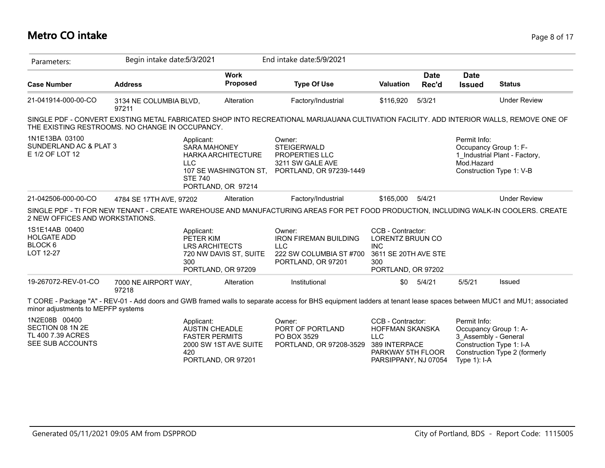#### **Metro CO intake** Page 8 of 17

| Parameters:                                                                | Begin intake date: 5/3/2021                                                                                                                                                                 |                                                                   | End intake date: 5/9/2021                                                                             |                                                                                                          |                      |                                                     |                                                                                    |
|----------------------------------------------------------------------------|---------------------------------------------------------------------------------------------------------------------------------------------------------------------------------------------|-------------------------------------------------------------------|-------------------------------------------------------------------------------------------------------|----------------------------------------------------------------------------------------------------------|----------------------|-----------------------------------------------------|------------------------------------------------------------------------------------|
| <b>Case Number</b>                                                         | <b>Address</b>                                                                                                                                                                              | <b>Work</b><br>Proposed                                           | <b>Type Of Use</b>                                                                                    | <b>Valuation</b>                                                                                         | <b>Date</b><br>Rec'd | <b>Date</b><br><b>Issued</b>                        | <b>Status</b>                                                                      |
| 21-041914-000-00-CO                                                        | 3134 NE COLUMBIA BLVD,<br>97211                                                                                                                                                             | Alteration                                                        | Factory/Industrial                                                                                    | \$116,920                                                                                                | 5/3/21               |                                                     | <b>Under Review</b>                                                                |
|                                                                            | SINGLE PDF - CONVERT EXISTING METAL FABRICATED SHOP INTO RECREATIONAL MARIJAUANA CULTIVATION FACILITY. ADD INTERIOR WALLS, REMOVE ONE OF<br>THE EXISTING RESTROOMS. NO CHANGE IN OCCUPANCY. |                                                                   |                                                                                                       |                                                                                                          |                      |                                                     |                                                                                    |
| 1N1E13BA 03100<br>SUNDERLAND AC & PLAT 3<br>E 1/2 OF LOT 12                | Applicant:<br><b>SARA MAHONEY</b><br><b>LLC</b><br><b>STE 740</b>                                                                                                                           | HARKA ARCHITECTURE<br>107 SE WASHINGTON ST,<br>PORTLAND, OR 97214 | Owner:<br><b>STEIGERWALD</b><br><b>PROPERTIES LLC</b><br>3211 SW GALE AVE<br>PORTLAND, OR 97239-1449  |                                                                                                          |                      | Permit Info:<br>Occupancy Group 1: F-<br>Mod.Hazard | 1 Industrial Plant - Factory,<br>Construction Type 1: V-B                          |
| 21-042506-000-00-CO                                                        | 4784 SE 17TH AVE, 97202                                                                                                                                                                     | Alteration                                                        | Factory/Industrial                                                                                    | \$165,000                                                                                                | 5/4/21               |                                                     | <b>Under Review</b>                                                                |
| 2 NEW OFFICES AND WORKSTATIONS.                                            | SINGLE PDF - TI FOR NEW TENANT - CREATE WAREHOUSE AND MANUFACTURING AREAS FOR PET FOOD PRODUCTION, INCLUDING WALK-IN COOLERS. CREATE                                                        |                                                                   |                                                                                                       |                                                                                                          |                      |                                                     |                                                                                    |
| 1S1E14AB 00400<br><b>HOLGATE ADD</b><br>BLOCK 6<br>LOT 12-27               | Applicant:<br>PETER KIM<br><b>LRS ARCHITECTS</b><br>300                                                                                                                                     | 720 NW DAVIS ST, SUITE<br>PORTLAND, OR 97209                      | Owner:<br><b>IRON FIREMAN BUILDING</b><br><b>LLC</b><br>222 SW COLUMBIA ST #700<br>PORTLAND, OR 97201 | CCB - Contractor:<br>LORENTZ BRUUN CO<br><b>INC</b><br>3611 SE 20TH AVE STE<br>300<br>PORTLAND, OR 97202 |                      |                                                     |                                                                                    |
| 19-267072-REV-01-CO                                                        | 7000 NE AIRPORT WAY,<br>97218                                                                                                                                                               | Alteration                                                        | Institutional                                                                                         | \$0                                                                                                      | 5/4/21               | 5/5/21                                              | Issued                                                                             |
| minor adjustments to MEPFP systems                                         | T CORE - Package "A" - REV-01 - Add doors and GWB framed walls to separate access for BHS equipment ladders at tenant lease spaces between MUC1 and MU1; associated                         |                                                                   |                                                                                                       |                                                                                                          |                      |                                                     |                                                                                    |
| 1N2E08B 00400<br>SECTION 08 1N 2E<br>TL 400 7.39 ACRES<br>SEE SUB ACCOUNTS | Applicant:<br><b>AUSTIN CHEADLE</b><br><b>FASTER PERMITS</b><br>420                                                                                                                         | 2000 SW 1ST AVE SUITE                                             | Owner:<br>PORT OF PORTLAND<br>PO BOX 3529<br>PORTLAND, OR 97208-3529                                  | CCB - Contractor:<br>HOFFMAN SKANSKA<br><b>LLC</b><br>389 INTERPACE<br>PARKWAY 5TH FLOOR                 |                      | Permit Info:<br>3 Assembly - General                | Occupancy Group 1: A-<br>Construction Type 1: I-A<br>Construction Type 2 (formerly |

PORTLAND, OR 97201

Type 1): I-A

PARSIPPANY, NJ 07054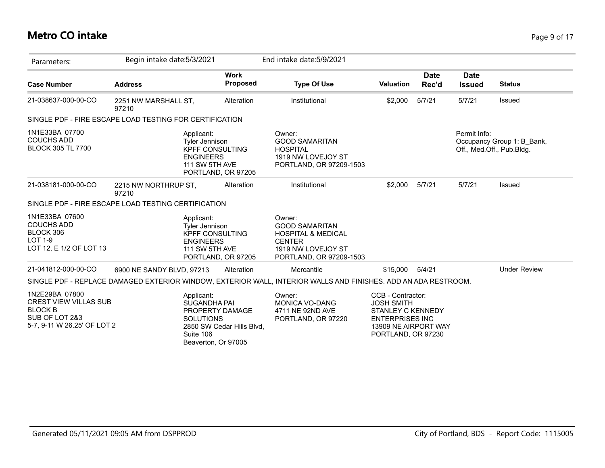## **Metro CO intake** Page 9 of 17

| Parameters:                                                                                                       | Begin intake date: 5/3/2021                                                      |                                                                     | End intake date: 5/9/2021                                                                                                          |                                                                                                                                            |                      |                              |                                                         |
|-------------------------------------------------------------------------------------------------------------------|----------------------------------------------------------------------------------|---------------------------------------------------------------------|------------------------------------------------------------------------------------------------------------------------------------|--------------------------------------------------------------------------------------------------------------------------------------------|----------------------|------------------------------|---------------------------------------------------------|
| <b>Case Number</b>                                                                                                | <b>Address</b>                                                                   | <b>Work</b><br>Proposed                                             | <b>Type Of Use</b>                                                                                                                 | <b>Valuation</b>                                                                                                                           | <b>Date</b><br>Rec'd | <b>Date</b><br><b>Issued</b> | <b>Status</b>                                           |
| 21-038637-000-00-CO                                                                                               | 2251 NW MARSHALL ST,<br>97210                                                    | Alteration                                                          | Institutional                                                                                                                      | \$2,000                                                                                                                                    | 5/7/21               | 5/7/21                       | Issued                                                  |
|                                                                                                                   | SINGLE PDF - FIRE ESCAPE LOAD TESTING FOR CERTIFICATION                          |                                                                     |                                                                                                                                    |                                                                                                                                            |                      |                              |                                                         |
| 1N1E33BA 07700<br><b>COUCHS ADD</b><br><b>BLOCK 305 TL 7700</b>                                                   | Applicant:<br><b>Tyler Jennison</b><br><b>ENGINEERS</b><br><b>111 SW 5TH AVE</b> | <b>KPFF CONSULTING</b><br>PORTLAND, OR 97205                        | Owner:<br><b>GOOD SAMARITAN</b><br><b>HOSPITAL</b><br>1919 NW LOVEJOY ST<br>PORTLAND, OR 97209-1503                                |                                                                                                                                            |                      | Permit Info:                 | Occupancy Group 1: B_Bank,<br>Off., Med.Off., Pub.Bldg. |
| 21-038181-000-00-CO                                                                                               | 2215 NW NORTHRUP ST,<br>97210                                                    | Alteration                                                          | Institutional                                                                                                                      | \$2,000                                                                                                                                    | 5/7/21               | 5/7/21                       | Issued                                                  |
|                                                                                                                   | SINGLE PDF - FIRE ESCAPE LOAD TESTING CERTIFICATION                              |                                                                     |                                                                                                                                    |                                                                                                                                            |                      |                              |                                                         |
| 1N1E33BA 07600<br><b>COUCHS ADD</b><br>BLOCK 306<br><b>LOT 1-9</b><br>LOT 12, E 1/2 OF LOT 13                     | Applicant:<br>Tyler Jennison<br><b>ENGINEERS</b><br><b>111 SW 5TH AVE</b>        | <b>KPFF CONSULTING</b><br>PORTLAND, OR 97205                        | Owner:<br><b>GOOD SAMARITAN</b><br><b>HOSPITAL &amp; MEDICAL</b><br><b>CENTER</b><br>1919 NW LOVEJOY ST<br>PORTLAND, OR 97209-1503 |                                                                                                                                            |                      |                              |                                                         |
| 21-041812-000-00-CO                                                                                               | 6900 NE SANDY BLVD, 97213                                                        | Alteration                                                          | Mercantile                                                                                                                         | \$15,000                                                                                                                                   | 5/4/21               |                              | <b>Under Review</b>                                     |
|                                                                                                                   |                                                                                  |                                                                     | SINGLE PDF - REPLACE DAMAGED EXTERIOR WINDOW, EXTERIOR WALL, INTERIOR WALLS AND FINISHES. ADD AN ADA RESTROOM.                     |                                                                                                                                            |                      |                              |                                                         |
| 1N2E29BA 07800<br><b>CREST VIEW VILLAS SUB</b><br><b>BLOCK B</b><br>SUB OF LOT 2&3<br>5-7, 9-11 W 26.25' OF LOT 2 | Applicant:<br><b>SUGANDHA PAI</b><br><b>SOLUTIONS</b><br>Suite 106               | PROPERTY DAMAGE<br>2850 SW Cedar Hills Blvd,<br>Beaverton, Or 97005 | Owner:<br>MONICA VO-DANG<br>4711 NE 92ND AVE<br>PORTLAND, OR 97220                                                                 | CCB - Contractor:<br><b>JOSH SMITH</b><br><b>STANLEY C KENNEDY</b><br><b>ENTERPRISES INC</b><br>13909 NE AIRPORT WAY<br>PORTLAND, OR 97230 |                      |                              |                                                         |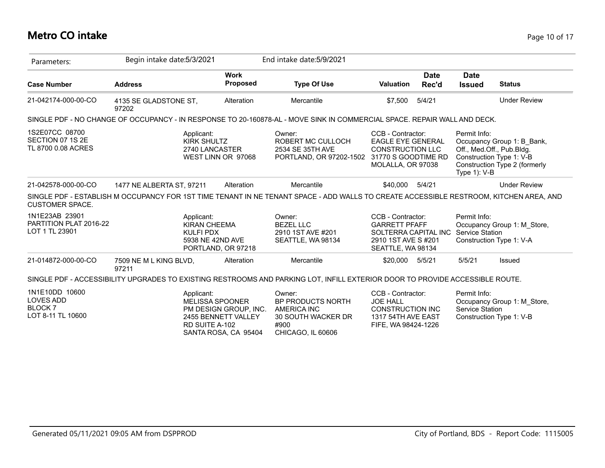## **Metro CO intake** Page 10 of 17

| Parameters:                                                              | Begin intake date: 5/3/2021                    |                                                                                                | End intake date: 5/9/2021                                                                                                              |                                                                                                               |                      |                                        |                                                                                                                      |
|--------------------------------------------------------------------------|------------------------------------------------|------------------------------------------------------------------------------------------------|----------------------------------------------------------------------------------------------------------------------------------------|---------------------------------------------------------------------------------------------------------------|----------------------|----------------------------------------|----------------------------------------------------------------------------------------------------------------------|
| <b>Case Number</b>                                                       | <b>Address</b>                                 | <b>Work</b><br>Proposed                                                                        | <b>Type Of Use</b>                                                                                                                     | <b>Valuation</b>                                                                                              | <b>Date</b><br>Rec'd | <b>Date</b><br><b>Issued</b>           | <b>Status</b>                                                                                                        |
| 21-042174-000-00-CO                                                      | 4135 SE GLADSTONE ST,<br>97202                 | Alteration                                                                                     | Mercantile                                                                                                                             | \$7.500                                                                                                       | 5/4/21               |                                        | <b>Under Review</b>                                                                                                  |
|                                                                          |                                                |                                                                                                | SINGLE PDF - NO CHANGE OF OCCUPANCY - IN RESPONSE TO 20-160878-AL - MOVE SINK IN COMMERCIAL SPACE. REPAIR WALL AND DECK.               |                                                                                                               |                      |                                        |                                                                                                                      |
| 1S2E07CC 08700<br>SECTION 07 1S 2E<br>TL 8700 0.08 ACRES                 | Applicant:<br><b>KIRK SHULTZ</b>               | 2740 LANCASTER<br>WEST LINN OR 97068                                                           | Owner:<br>ROBERT MC CULLOCH<br>2534 SE 35TH AVE<br>PORTLAND, OR 97202-1502 31770 S GOODTIME RD                                         | CCB - Contractor:<br><b>EAGLE EYE GENERAL</b><br><b>CONSTRUCTION LLC</b><br>MOLALLA, OR 97038                 |                      | Permit Info:<br>Type 1): V-B           | Occupancy Group 1: B_Bank,<br>Off., Med.Off., Pub.Bldg.<br>Construction Type 1: V-B<br>Construction Type 2 (formerly |
| 21-042578-000-00-CO                                                      | 1477 NE ALBERTA ST, 97211                      | Alteration                                                                                     | Mercantile                                                                                                                             | \$40,000                                                                                                      | 5/4/21               |                                        | <b>Under Review</b>                                                                                                  |
| <b>CUSTOMER SPACE.</b>                                                   |                                                |                                                                                                | SINGLE PDF - ESTABLISH M OCCUPANCY FOR 1ST TIME TENANT IN NE TENANT SPACE - ADD WALLS TO CREATE ACCESSIBLE RESTROOM, KITCHEN AREA, AND |                                                                                                               |                      |                                        |                                                                                                                      |
| 1N1E23AB 23901<br>PARTITION PLAT 2016-22<br>LOT 1 TL 23901               | Applicant:<br><b>KIRAN CHEEMA</b><br>KULFI PDX | 5938 NE 42ND AVE<br>PORTLAND, OR 97218                                                         | Owner:<br><b>BEZEL LLC</b><br>2910 1ST AVE #201<br>SEATTLE, WA 98134                                                                   | CCB - Contractor:<br><b>GARRETT PFAFF</b><br>SOLTERRA CAPITAL INC<br>2910 1ST AVE S #201<br>SEATTLE, WA 98134 |                      | Permit Info:<br><b>Service Station</b> | Occupancy Group 1: M Store,<br>Construction Type 1: V-A                                                              |
| 21-014872-000-00-CO                                                      | 7509 NE M L KING BLVD,<br>97211                | Alteration                                                                                     | Mercantile                                                                                                                             | \$20,000                                                                                                      | 5/5/21               | 5/5/21                                 | Issued                                                                                                               |
|                                                                          |                                                |                                                                                                | SINGLE PDF - ACCESSIBILITY UPGRADES TO EXISTING RESTROOMS AND PARKING LOT, INFILL EXTERIOR DOOR TO PROVIDE ACCESSIBLE ROUTE.           |                                                                                                               |                      |                                        |                                                                                                                      |
| 1N1E10DD 10600<br><b>LOVES ADD</b><br><b>BLOCK7</b><br>LOT 8-11 TL 10600 | Applicant:<br><b>RD SUITE A-102</b>            | <b>MELISSA SPOONER</b><br>PM DESIGN GROUP, INC.<br>2455 BENNETT VALLEY<br>SANTA ROSA, CA 95404 | Owner:<br>BP PRODUCTS NORTH<br>AMERICA INC<br>30 SOUTH WACKER DR<br>#900<br>CHICAGO, IL 60606                                          | CCB - Contractor:<br><b>JOE HALL</b><br><b>CONSTRUCTION INC</b><br>1317 54TH AVE EAST<br>FIFE, WA 98424-1226  |                      | Permit Info:<br>Service Station        | Occupancy Group 1: M Store,<br>Construction Type 1: V-B                                                              |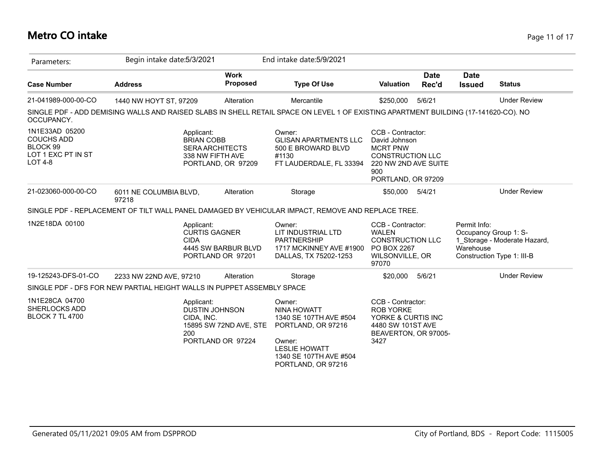#### **Metro CO intake** Page 11 of 17

| Parameters:                                                                             | Begin intake date: 5/3/2021                                                                                                         |                                                                      | End intake date: 5/9/2021                                                                                                                                      |                                                                                                                                       |                                                    |                                                            |
|-----------------------------------------------------------------------------------------|-------------------------------------------------------------------------------------------------------------------------------------|----------------------------------------------------------------------|----------------------------------------------------------------------------------------------------------------------------------------------------------------|---------------------------------------------------------------------------------------------------------------------------------------|----------------------------------------------------|------------------------------------------------------------|
| <b>Case Number</b>                                                                      | <b>Address</b>                                                                                                                      | <b>Work</b><br><b>Proposed</b>                                       | <b>Type Of Use</b>                                                                                                                                             | <b>Date</b><br><b>Valuation</b><br>Rec'd                                                                                              | <b>Date</b><br><b>Issued</b>                       | <b>Status</b>                                              |
| 21-041989-000-00-CO                                                                     | 1440 NW HOYT ST, 97209                                                                                                              | Alteration                                                           | Mercantile                                                                                                                                                     | 5/6/21<br>\$250,000                                                                                                                   |                                                    | <b>Under Review</b>                                        |
| OCCUPANCY.                                                                              | SINGLE PDF - ADD DEMISING WALLS AND RAISED SLABS IN SHELL RETAIL SPACE ON LEVEL 1 OF EXISTING APARTMENT BUILDING (17-141620-CO). NO |                                                                      |                                                                                                                                                                |                                                                                                                                       |                                                    |                                                            |
| 1N1E33AD 05200<br><b>COUCHS ADD</b><br>BLOCK 99<br>LOT 1 EXC PT IN ST<br><b>LOT 4-8</b> | Applicant:<br><b>BRIAN COBB</b>                                                                                                     | <b>SERA ARCHITECTS</b><br>338 NW FIFTH AVE<br>PORTLAND, OR 97209     | Owner:<br><b>GLISAN APARTMENTS LLC</b><br>500 E BROWARD BLVD<br>#1130<br>FT LAUDERDALE, FL 33394                                                               | CCB - Contractor:<br>David Johnson<br><b>MCRT PNW</b><br><b>CONSTRUCTION LLC</b><br>220 NW 2ND AVE SUITE<br>900<br>PORTLAND, OR 97209 |                                                    |                                                            |
| 21-023060-000-00-CO                                                                     | 6011 NE COLUMBIA BLVD,<br>97218                                                                                                     | Alteration                                                           | Storage                                                                                                                                                        | \$50,000<br>5/4/21                                                                                                                    |                                                    | <b>Under Review</b>                                        |
|                                                                                         | SINGLE PDF - REPLACEMENT OF TILT WALL PANEL DAMAGED BY VEHICULAR IMPACT, REMOVE AND REPLACE TREE.                                   |                                                                      |                                                                                                                                                                |                                                                                                                                       |                                                    |                                                            |
| 1N2E18DA 00100                                                                          | Applicant:<br><b>CIDA</b>                                                                                                           | <b>CURTIS GAGNER</b><br>4445 SW BARBUR BLVD<br>PORTLAND OR 97201     | Owner:<br>LIT INDUSTRIAL LTD<br><b>PARTNERSHIP</b><br>1717 MCKINNEY AVE #1900<br>DALLAS, TX 75202-1253                                                         | CCB - Contractor:<br><b>WALEN</b><br><b>CONSTRUCTION LLC</b><br>PO BOX 2267<br>WILSONVILLE, OR<br>97070                               | Permit Info:<br>Occupancy Group 1: S-<br>Warehouse | 1 Storage - Moderate Hazard,<br>Construction Type 1: III-B |
| 19-125243-DFS-01-CO                                                                     | 2233 NW 22ND AVE, 97210                                                                                                             | Alteration                                                           | Storage                                                                                                                                                        | \$20,000<br>5/6/21                                                                                                                    |                                                    | <b>Under Review</b>                                        |
|                                                                                         | SINGLE PDF - DFS FOR NEW PARTIAL HEIGHT WALLS IN PUPPET ASSEMBLY SPACE                                                              |                                                                      |                                                                                                                                                                |                                                                                                                                       |                                                    |                                                            |
| 1N1E28CA 04700<br><b>SHERLOCKS ADD</b><br><b>BLOCK 7 TL 4700</b>                        | Applicant:<br>CIDA. INC.<br>200                                                                                                     | <b>DUSTIN JOHNSON</b><br>15895 SW 72ND AVE, STE<br>PORTLAND OR 97224 | Owner:<br><b>NINA HOWATT</b><br>1340 SE 107TH AVE #504<br>PORTLAND, OR 97216<br>Owner:<br><b>LESLIE HOWATT</b><br>1340 SE 107TH AVE #504<br>PORTLAND, OR 97216 | CCB - Contractor:<br><b>ROB YORKE</b><br>YORKE & CURTIS INC<br>4480 SW 101ST AVE<br>BEAVERTON, OR 97005-<br>3427                      |                                                    |                                                            |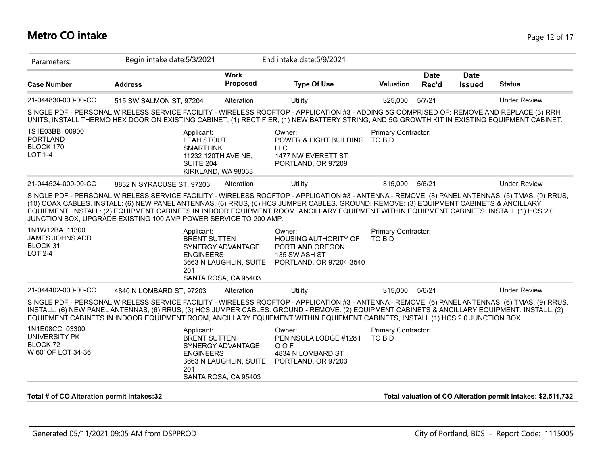## **Metro CO intake** Page 12 of 17

| Parameters:                                                                                                                                     | Begin intake date: 5/3/2021                                                                                                                                                                                                                                                                                                                                                                                                                                                                              |                                                                     | End intake date: 5/9/2021                                                                            |                               |                      |                              |                     |
|-------------------------------------------------------------------------------------------------------------------------------------------------|----------------------------------------------------------------------------------------------------------------------------------------------------------------------------------------------------------------------------------------------------------------------------------------------------------------------------------------------------------------------------------------------------------------------------------------------------------------------------------------------------------|---------------------------------------------------------------------|------------------------------------------------------------------------------------------------------|-------------------------------|----------------------|------------------------------|---------------------|
| <b>Case Number</b>                                                                                                                              | <b>Address</b>                                                                                                                                                                                                                                                                                                                                                                                                                                                                                           | <b>Work</b><br><b>Proposed</b>                                      | <b>Type Of Use</b>                                                                                   | <b>Valuation</b>              | <b>Date</b><br>Rec'd | <b>Date</b><br><b>Issued</b> | <b>Status</b>       |
| 21-044830-000-00-CO                                                                                                                             | 515 SW SALMON ST, 97204                                                                                                                                                                                                                                                                                                                                                                                                                                                                                  | Alteration                                                          | Utility                                                                                              | \$25,000                      | 5/7/21               |                              | <b>Under Review</b> |
|                                                                                                                                                 | SINGLE PDF - PERSONAL WIRELESS SERVICE FACILITY - WIRELESS ROOFTOP - APPLICATION #3 - ADDING 5G COMPRISED OF: REMOVE AND REPLACE (3) RRH<br>UNITS, INSTALL THERMO HEX DOOR ON EXISTING CABINET, (1) RECTIFIER, (1) NEW BATTERY STRING, AND 5G GROWTH KIT IN EXISTING EQUIPMENT CABINET.                                                                                                                                                                                                                  |                                                                     |                                                                                                      |                               |                      |                              |                     |
| 1S1E03BB 00900<br><b>PORTLAND</b><br>BLOCK 170<br><b>LOT 1-4</b>                                                                                | Applicant:<br><b>LEAH STOUT</b><br><b>SMARTLINK</b><br>SUITE 204                                                                                                                                                                                                                                                                                                                                                                                                                                         | 11232 120TH AVE NE,<br>KIRKLAND, WA 98033                           | Owner:<br>POWER & LIGHT BUILDING TO BID<br><b>LLC</b><br>1477 NW EVERETT ST<br>PORTLAND, OR 97209    | Primary Contractor:           |                      |                              |                     |
| 21-044524-000-00-CO                                                                                                                             | 8832 N SYRACUSE ST, 97203                                                                                                                                                                                                                                                                                                                                                                                                                                                                                | Alteration                                                          | Utility                                                                                              | \$15,000                      | 5/6/21               |                              | <b>Under Review</b> |
|                                                                                                                                                 | SINGLE PDF - PERSONAL WIRELESS SERVICE FACILITY - WIRELESS ROOFTOP - APPLICATION #3 - ANTENNA - REMOVE: (8) PANEL ANTENNAS, (5) TMAS, (9) RRUS,<br>(10) COAX CABLES. INSTALL: (6) NEW PANEL ANTENNAS, (6) RRUS, (6) HCS JUMPER CABLES. GROUND: REMOVE: (3) EQUIPMENT CABINETS & ANCILLARY<br>EQUIPMENT. INSTALL: (2) EQUIPMENT CABINETS IN INDOOR EQUIPMENT ROOM, ANCILLARY EQUIPMENT WITHIN EQUIPMENT CABINETS. INSTALL (1) HCS 2.0<br>JUNCTION BOX, UPGRADE EXISTING 100 AMP POWER SERVICE TO 200 AMP. |                                                                     |                                                                                                      |                               |                      |                              |                     |
| 1N1W12BA 11300<br>JAMES JOHNS ADD<br>BLOCK 31<br><b>LOT 2-4</b>                                                                                 | Applicant:<br><b>BRENT SUTTEN</b><br><b>ENGINEERS</b><br>201                                                                                                                                                                                                                                                                                                                                                                                                                                             | SYNERGY ADVANTAGE<br>3663 N LAUGHLIN, SUITE<br>SANTA ROSA, CA 95403 | Owner:<br><b>HOUSING AUTHORITY OF</b><br>PORTLAND OREGON<br>135 SW ASH ST<br>PORTLAND, OR 97204-3540 | Primary Contractor:<br>TO BID |                      |                              |                     |
| 21-044402-000-00-CO                                                                                                                             | 4840 N LOMBARD ST, 97203                                                                                                                                                                                                                                                                                                                                                                                                                                                                                 | Alteration                                                          | <b>Utility</b>                                                                                       | \$15,000                      | 5/6/21               |                              | <b>Under Review</b> |
|                                                                                                                                                 |                                                                                                                                                                                                                                                                                                                                                                                                                                                                                                          |                                                                     |                                                                                                      |                               |                      |                              |                     |
| SINGLE PDF - PERSONAL WIRELESS SERVICE FACILITY - WIRELESS ROOFTOP - APPLICATION #3 - ANTENNA - REMOVE: (6) PANEL ANTENNAS, (6) TMAS, (9) RRUS. | INSTALL: (6) NEW PANEL ANTENNAS, (6) RRUS, (3) HCS JUMPER CABLES. GROUND - REMOVE: (2) EQUIPMENT CABINETS & ANCILLARY EQUIPMENT, INSTALL: (2)<br>EQUIPMENT CABINETS IN INDOOR EQUIPMENT ROOM, ANCILLARY EQUIPMENT WITHIN EQUIPMENT CABINETS, INSTALL (1) HCS 2.0 JUNCTION BOX                                                                                                                                                                                                                            |                                                                     |                                                                                                      |                               |                      |                              |                     |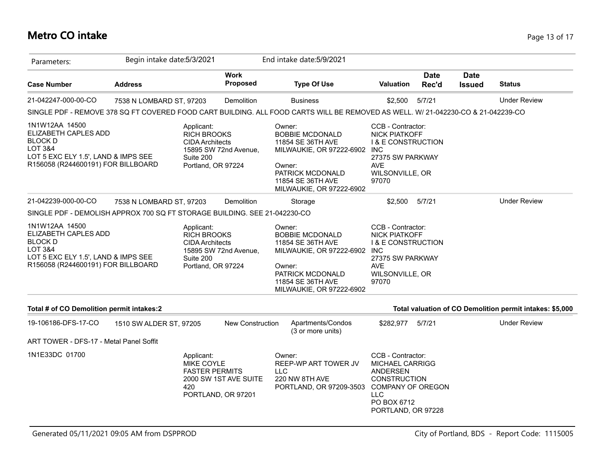## **Metro CO intake** Page 13 of 17

| Parameters:                                                                                                                                                 | Begin intake date: 5/3/2021 |                                                                                               |                                             | End intake date: 5/9/2021                                                                                                                                            |                                                                                                                                                 |                      |                              |                                                          |
|-------------------------------------------------------------------------------------------------------------------------------------------------------------|-----------------------------|-----------------------------------------------------------------------------------------------|---------------------------------------------|----------------------------------------------------------------------------------------------------------------------------------------------------------------------|-------------------------------------------------------------------------------------------------------------------------------------------------|----------------------|------------------------------|----------------------------------------------------------|
| <b>Case Number</b>                                                                                                                                          | <b>Address</b>              |                                                                                               | <b>Work</b><br><b>Proposed</b>              | <b>Type Of Use</b>                                                                                                                                                   | <b>Valuation</b>                                                                                                                                | <b>Date</b><br>Rec'd | <b>Date</b><br><b>Issued</b> | <b>Status</b>                                            |
| 21-042247-000-00-CO                                                                                                                                         | 7538 N LOMBARD ST, 97203    |                                                                                               | <b>Demolition</b>                           | <b>Business</b>                                                                                                                                                      | \$2,500                                                                                                                                         | 5/7/21               |                              | <b>Under Review</b>                                      |
|                                                                                                                                                             |                             |                                                                                               |                                             | SINGLE PDF - REMOVE 378 SQ FT COVERED FOOD CART BUILDING. ALL FOOD CARTS WILL BE REMOVED AS WELL. W/ 21-042230-CO & 21-042239-CO                                     |                                                                                                                                                 |                      |                              |                                                          |
| 1N1W12AA 14500<br>ELIZABETH CAPLES ADD<br><b>BLOCK D</b><br><b>LOT 3&amp;4</b><br>LOT 5 EXC ELY 1.5', LAND & IMPS SEE<br>R156058 (R244600191) FOR BILLBOARD |                             | Applicant:<br><b>RICH BROOKS</b><br><b>CIDA Architects</b><br>Suite 200<br>Portland, OR 97224 | 15895 SW 72nd Avenue,                       | Owner:<br><b>BOBBIE MCDONALD</b><br>11854 SE 36TH AVE<br>MILWAUKIE, OR 97222-6902<br>Owner:<br>PATRICK MCDONALD<br>11854 SE 36TH AVE<br>MILWAUKIE, OR 97222-6902     | CCB - Contractor:<br><b>NICK PIATKOFF</b><br><b>I &amp; E CONSTRUCTION</b><br><b>INC</b><br>27375 SW PARKWAY<br>AVE<br>WILSONVILLE, OR<br>97070 |                      |                              |                                                          |
| 21-042239-000-00-CO                                                                                                                                         | 7538 N LOMBARD ST, 97203    |                                                                                               | Demolition                                  | Storage                                                                                                                                                              | \$2,500                                                                                                                                         | 5/7/21               |                              | <b>Under Review</b>                                      |
| SINGLE PDF - DEMOLISH APPROX 700 SQ FT STORAGE BUILDING. SEE 21-042230-CO                                                                                   |                             |                                                                                               |                                             |                                                                                                                                                                      |                                                                                                                                                 |                      |                              |                                                          |
| 1N1W12AA 14500<br>ELIZABETH CAPLES ADD<br><b>BLOCK D</b><br><b>LOT 3&amp;4</b><br>LOT 5 EXC ELY 1.5', LAND & IMPS SEE<br>R156058 (R244600191) FOR BILLBOARD |                             | Applicant:<br><b>RICH BROOKS</b><br><b>CIDA Architects</b><br>Suite 200<br>Portland, OR 97224 | 15895 SW 72nd Avenue,                       | Owner:<br><b>BOBBIE MCDONALD</b><br>11854 SE 36TH AVE<br>MILWAUKIE, OR 97222-6902 INC<br>Owner:<br>PATRICK MCDONALD<br>11854 SE 36TH AVE<br>MILWAUKIE, OR 97222-6902 | CCB - Contractor:<br><b>NICK PIATKOFF</b><br><b>I &amp; E CONSTRUCTION</b><br>27375 SW PARKWAY<br><b>AVE</b><br>WILSONVILLE, OR<br>97070        |                      |                              |                                                          |
| Total # of CO Demolition permit intakes:2                                                                                                                   |                             |                                                                                               |                                             |                                                                                                                                                                      |                                                                                                                                                 |                      |                              | Total valuation of CO Demolition permit intakes: \$5,000 |
| 19-106186-DFS-17-CO                                                                                                                                         | 1510 SW ALDER ST, 97205     |                                                                                               | <b>New Construction</b>                     | Apartments/Condos<br>(3 or more units)                                                                                                                               | \$282,977                                                                                                                                       | 5/7/21               |                              | <b>Under Review</b>                                      |
| ART TOWER - DFS-17 - Metal Panel Soffit                                                                                                                     |                             |                                                                                               |                                             |                                                                                                                                                                      |                                                                                                                                                 |                      |                              |                                                          |
| 1N1E33DC 01700                                                                                                                                              |                             | Applicant:<br><b>MIKE COYLE</b><br><b>FASTER PERMITS</b><br>420                               | 2000 SW 1ST AVE SUITE<br>PORTLAND, OR 97201 | Owner:<br>REEP-WP ART TOWER JV<br><b>LLC</b><br>220 NW 8TH AVE<br>PORTLAND, OR 97209-3503                                                                            | CCB - Contractor:<br><b>MICHAEL CARRIGG</b><br>ANDERSEN<br>CONSTRUCTION<br>COMPANY OF OREGON<br><b>LLC</b><br>PO BOX 6712<br>PORTLAND, OR 97228 |                      |                              |                                                          |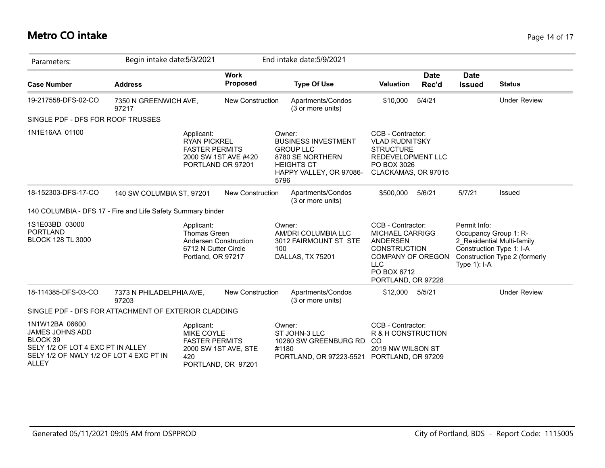# **Metro CO intake** Page 14 of 17

| Parameters:                                                                                                                                   | Begin intake date: 5/3/2021       |                                                                                 |                                            |       | End intake date: 5/9/2021                                                                                                    |                                                                                                                                                               |                      |                                                                                   |                                                             |
|-----------------------------------------------------------------------------------------------------------------------------------------------|-----------------------------------|---------------------------------------------------------------------------------|--------------------------------------------|-------|------------------------------------------------------------------------------------------------------------------------------|---------------------------------------------------------------------------------------------------------------------------------------------------------------|----------------------|-----------------------------------------------------------------------------------|-------------------------------------------------------------|
| <b>Case Number</b>                                                                                                                            | <b>Address</b>                    |                                                                                 | <b>Work</b><br><b>Proposed</b>             |       | <b>Type Of Use</b>                                                                                                           | <b>Valuation</b>                                                                                                                                              | <b>Date</b><br>Rec'd | <b>Date</b><br><b>Issued</b>                                                      | <b>Status</b>                                               |
| 19-217558-DFS-02-CO                                                                                                                           | 7350 N GREENWICH AVE,<br>97217    |                                                                                 | New Construction                           |       | Apartments/Condos<br>(3 or more units)                                                                                       | \$10,000                                                                                                                                                      | 5/4/21               |                                                                                   | <b>Under Review</b>                                         |
| SINGLE PDF - DFS FOR ROOF TRUSSES                                                                                                             |                                   |                                                                                 |                                            |       |                                                                                                                              |                                                                                                                                                               |                      |                                                                                   |                                                             |
| 1N1E16AA 01100                                                                                                                                |                                   | Applicant:<br><b>RYAN PICKREL</b><br><b>FASTER PERMITS</b>                      | 2000 SW 1ST AVE #420<br>PORTLAND OR 97201  | 5796  | Owner:<br><b>BUSINESS INVESTMENT</b><br><b>GROUP LLC</b><br>8780 SE NORTHERN<br><b>HEIGHTS CT</b><br>HAPPY VALLEY, OR 97086- | CCB - Contractor:<br><b>VLAD RUDNITSKY</b><br><b>STRUCTURE</b><br><b>REDEVELOPMENT LLC</b><br>PO BOX 3026<br>CLACKAMAS, OR 97015                              |                      |                                                                                   |                                                             |
| 18-152303-DFS-17-CO                                                                                                                           | 140 SW COLUMBIA ST, 97201         |                                                                                 | <b>New Construction</b>                    |       | Apartments/Condos<br>(3 or more units)                                                                                       | \$500,000                                                                                                                                                     | 5/6/21               | 5/7/21                                                                            | Issued                                                      |
| 140 COLUMBIA - DFS 17 - Fire and Life Safety Summary binder                                                                                   |                                   |                                                                                 |                                            |       |                                                                                                                              |                                                                                                                                                               |                      |                                                                                   |                                                             |
| 1S1E03BD 03000<br><b>PORTLAND</b><br><b>BLOCK 128 TL 3000</b>                                                                                 |                                   | Applicant:<br><b>Thomas Green</b><br>6712 N Cutter Circle<br>Portland, OR 97217 | Andersen Construction                      | 100   | Owner:<br>AM/DRI COLUMBIA LLC<br>3012 FAIRMOUNT ST STE<br>DALLAS, TX 75201                                                   | CCB - Contractor:<br><b>MICHAEL CARRIGG</b><br><b>ANDERSEN</b><br><b>CONSTRUCTION</b><br>COMPANY OF OREGON<br><b>LLC</b><br>PO BOX 6712<br>PORTLAND, OR 97228 |                      | Permit Info:<br>Occupancy Group 1: R-<br>Construction Type 1: I-A<br>Type 1): I-A | 2 Residential Multi-family<br>Construction Type 2 (formerly |
| 18-114385-DFS-03-CO                                                                                                                           | 7373 N PHILADELPHIA AVE,<br>97203 |                                                                                 | <b>New Construction</b>                    |       | Apartments/Condos<br>(3 or more units)                                                                                       | \$12,000                                                                                                                                                      | 5/5/21               |                                                                                   | <b>Under Review</b>                                         |
| SINGLE PDF - DFS FOR ATTACHMENT OF EXTERIOR CLADDING                                                                                          |                                   |                                                                                 |                                            |       |                                                                                                                              |                                                                                                                                                               |                      |                                                                                   |                                                             |
| 1N1W12BA 06600<br>JAMES JOHNS ADD<br>BLOCK 39<br>SELY 1/2 OF LOT 4 EXC PT IN ALLEY<br>SELY 1/2 OF NWLY 1/2 OF LOT 4 EXC PT IN<br><b>ALLEY</b> |                                   | Applicant:<br>MIKE COYLE<br><b>FASTER PERMITS</b><br>420                        | 2000 SW 1ST AVE, STE<br>PORTLAND, OR 97201 | #1180 | Owner:<br>ST JOHN-3 LLC<br>10260 SW GREENBURG RD<br>PORTLAND, OR 97223-5521                                                  | CCB - Contractor:<br>R & H CONSTRUCTION<br><sub>CO</sub><br>2019 NW WILSON ST<br>PORTLAND, OR 97209                                                           |                      |                                                                                   |                                                             |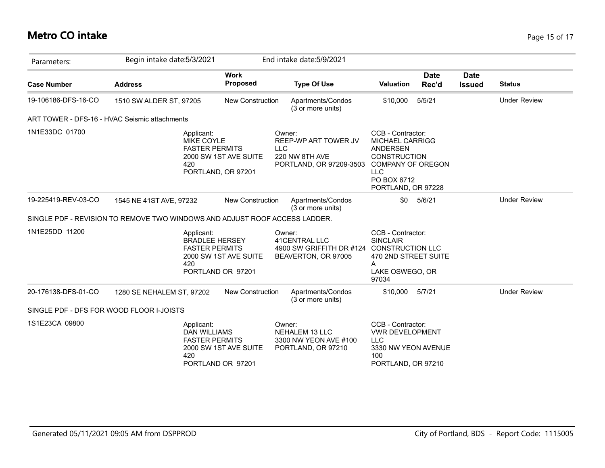## **Metro CO intake** Page 15 of 17

| Parameters:         | Begin intake date: 5/3/2021                                                |                                             | End intake date: 5/9/2021                                                                   |                                                                                                                                                                      |               |                              |                     |
|---------------------|----------------------------------------------------------------------------|---------------------------------------------|---------------------------------------------------------------------------------------------|----------------------------------------------------------------------------------------------------------------------------------------------------------------------|---------------|------------------------------|---------------------|
| <b>Case Number</b>  | <b>Address</b>                                                             | <b>Work</b><br><b>Proposed</b>              | <b>Type Of Use</b>                                                                          | <b>Valuation</b>                                                                                                                                                     | Date<br>Rec'd | <b>Date</b><br><b>Issued</b> | <b>Status</b>       |
| 19-106186-DFS-16-CO | 1510 SW ALDER ST, 97205                                                    | <b>New Construction</b>                     | Apartments/Condos<br>(3 or more units)                                                      | \$10,000                                                                                                                                                             | 5/5/21        |                              | <b>Under Review</b> |
|                     | ART TOWER - DFS-16 - HVAC Seismic attachments                              |                                             |                                                                                             |                                                                                                                                                                      |               |                              |                     |
| 1N1E33DC 01700      | Applicant:<br>MIKE COYLE<br><b>FASTER PERMITS</b><br>420                   | 2000 SW 1ST AVE SUITE<br>PORTLAND, OR 97201 | Owner:<br>REEP-WP ART TOWER JV<br><b>LLC</b><br>220 NW 8TH AVE<br>PORTLAND, OR 97209-3503   | CCB - Contractor:<br><b>MICHAEL CARRIGG</b><br><b>ANDERSEN</b><br><b>CONSTRUCTION</b><br><b>COMPANY OF OREGON</b><br><b>LLC</b><br>PO BOX 6712<br>PORTLAND, OR 97228 |               |                              |                     |
| 19-225419-REV-03-CO | 1545 NE 41ST AVE, 97232                                                    | New Construction                            | Apartments/Condos<br>(3 or more units)                                                      | \$0                                                                                                                                                                  | 5/6/21        |                              | <b>Under Review</b> |
|                     | SINGLE PDF - REVISION TO REMOVE TWO WINDOWS AND ADJUST ROOF ACCESS LADDER. |                                             |                                                                                             |                                                                                                                                                                      |               |                              |                     |
| 1N1E25DD 11200      | Applicant:<br><b>BRADLEE HERSEY</b><br><b>FASTER PERMITS</b><br>420        | 2000 SW 1ST AVE SUITE<br>PORTLAND OR 97201  | Owner:<br>41CENTRAL LLC<br>4900 SW GRIFFITH DR #124 CONSTRUCTION LLC<br>BEAVERTON, OR 97005 | CCB - Contractor:<br><b>SINCLAIR</b><br>470 2ND STREET SUITE<br>A<br>LAKE OSWEGO, OR<br>97034                                                                        |               |                              |                     |
| 20-176138-DFS-01-CO | 1280 SE NEHALEM ST, 97202                                                  | <b>New Construction</b>                     | Apartments/Condos<br>(3 or more units)                                                      | \$10,000                                                                                                                                                             | 5/7/21        |                              | <b>Under Review</b> |
|                     | SINGLE PDF - DFS FOR WOOD FLOOR I-JOISTS                                   |                                             |                                                                                             |                                                                                                                                                                      |               |                              |                     |
| 1S1E23CA 09800      | Applicant:<br><b>DAN WILLIAMS</b><br><b>FASTER PERMITS</b><br>420          | 2000 SW 1ST AVE SUITE<br>PORTLAND OR 97201  | Owner:<br><b>NEHALEM 13 LLC</b><br>3300 NW YEON AVE #100<br>PORTLAND, OR 97210              | CCB - Contractor:<br><b>VWR DEVELOPMENT</b><br><b>LLC</b><br>3330 NW YEON AVENUE<br>100<br>PORTLAND, OR 97210                                                        |               |                              |                     |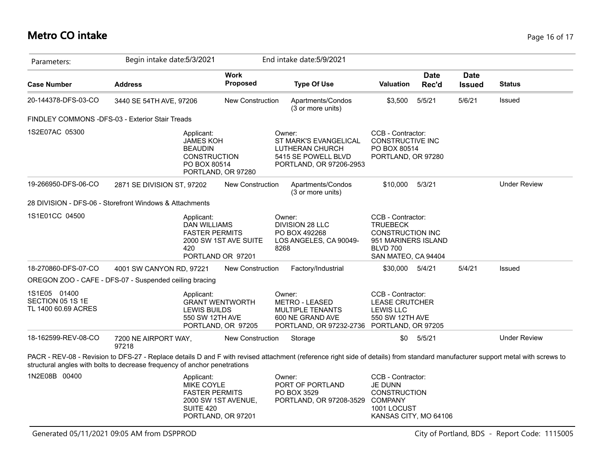#### **Metro CO intake** Page 16 of 17

| Parameters:                                             | Begin intake date: 5/3/2021                                                                                                                                                                                                                                 |                                              | End intake date: 5/9/2021                                                                                                    |                                                                                                                                  |                      |                              |                     |
|---------------------------------------------------------|-------------------------------------------------------------------------------------------------------------------------------------------------------------------------------------------------------------------------------------------------------------|----------------------------------------------|------------------------------------------------------------------------------------------------------------------------------|----------------------------------------------------------------------------------------------------------------------------------|----------------------|------------------------------|---------------------|
| <b>Case Number</b>                                      | <b>Address</b>                                                                                                                                                                                                                                              | <b>Work</b><br><b>Proposed</b>               | <b>Type Of Use</b>                                                                                                           | <b>Valuation</b>                                                                                                                 | <b>Date</b><br>Rec'd | <b>Date</b><br><b>Issued</b> | <b>Status</b>       |
| 20-144378-DFS-03-CO                                     | 3440 SE 54TH AVE, 97206                                                                                                                                                                                                                                     | New Construction                             | Apartments/Condos<br>(3 or more units)                                                                                       | \$3,500                                                                                                                          | 5/5/21               | 5/6/21                       | Issued              |
|                                                         | FINDLEY COMMONS -DFS-03 - Exterior Stair Treads                                                                                                                                                                                                             |                                              |                                                                                                                              |                                                                                                                                  |                      |                              |                     |
| 1S2E07AC 05300                                          | Applicant:<br><b>JAMES KOH</b><br><b>BEAUDIN</b><br><b>CONSTRUCTION</b><br>PO BOX 80514                                                                                                                                                                     | PORTLAND, OR 97280                           | Owner:<br>ST MARK'S EVANGELICAL<br>LUTHERAN CHURCH<br>5415 SE POWELL BLVD<br>PORTLAND, OR 97206-2953                         | CCB - Contractor:<br>CONSTRUCTIVE INC<br>PO BOX 80514<br>PORTLAND, OR 97280                                                      |                      |                              |                     |
| 19-266950-DFS-06-CO                                     | 2871 SE DIVISION ST, 97202                                                                                                                                                                                                                                  | <b>New Construction</b>                      | Apartments/Condos<br>(3 or more units)                                                                                       | \$10,000                                                                                                                         | 5/3/21               |                              | <b>Under Review</b> |
|                                                         | 28 DIVISION - DFS-06 - Storefront Windows & Attachments                                                                                                                                                                                                     |                                              |                                                                                                                              |                                                                                                                                  |                      |                              |                     |
| 1S1E01CC 04500                                          | Applicant:<br><b>DAN WILLIAMS</b><br><b>FASTER PERMITS</b><br>420                                                                                                                                                                                           | 2000 SW 1ST AVE SUITE<br>PORTLAND OR 97201   | Owner:<br>DIVISION 28 LLC<br>PO BOX 492268<br>LOS ANGELES, CA 90049-<br>8268                                                 | CCB - Contractor:<br><b>TRUEBECK</b><br><b>CONSTRUCTION INC</b><br>951 MARINERS ISLAND<br><b>BLVD 700</b><br>SAN MATEO, CA 94404 |                      |                              |                     |
| 18-270860-DFS-07-CO                                     | 4001 SW CANYON RD, 97221                                                                                                                                                                                                                                    | New Construction                             | Factory/Industrial                                                                                                           | \$30,000                                                                                                                         | 5/4/21               | 5/4/21                       | Issued              |
|                                                         | OREGON ZOO - CAFE - DFS-07 - Suspended ceiling bracing                                                                                                                                                                                                      |                                              |                                                                                                                              |                                                                                                                                  |                      |                              |                     |
| 1S1E05 01400<br>SECTION 05 1S 1E<br>TL 1400 60.69 ACRES | Applicant:<br>LEWIS BUILDS<br>550 SW 12TH AVE                                                                                                                                                                                                               | <b>GRANT WENTWORTH</b><br>PORTLAND, OR 97205 | Owner:<br><b>METRO - LEASED</b><br><b>MULTIPLE TENANTS</b><br>600 NE GRAND AVE<br>PORTLAND, OR 97232-2736 PORTLAND, OR 97205 | CCB - Contractor:<br><b>LEASE CRUTCHER</b><br><b>LEWIS LLC</b><br>550 SW 12TH AVE                                                |                      |                              |                     |
| 18-162599-REV-08-CO                                     | 7200 NE AIRPORT WAY,<br>97218                                                                                                                                                                                                                               | <b>New Construction</b>                      | Storage                                                                                                                      | \$0                                                                                                                              | 5/5/21               |                              | <b>Under Review</b> |
|                                                         | PACR - REV-08 - Revision to DFS-27 - Replace details D and F with revised attachment (reference right side of details) from standard manufacturer support metal with screws to<br>structural angles with bolts to decrease frequency of anchor penetrations |                                              |                                                                                                                              |                                                                                                                                  |                      |                              |                     |
| 1N2E08B 00400                                           | Applicant:<br>MIKE COYLE<br><b>FASTER PERMITS</b><br>SUITE 420                                                                                                                                                                                              | 2000 SW 1ST AVENUE,<br>PORTLAND, OR 97201    | Owner:<br>PORT OF PORTLAND<br>PO BOX 3529<br>PORTLAND, OR 97208-3529                                                         | CCB - Contractor:<br>JE DUNN<br><b>CONSTRUCTION</b><br><b>COMPANY</b><br>1001 LOCUST<br>KANSAS CITY, MO 64106                    |                      |                              |                     |